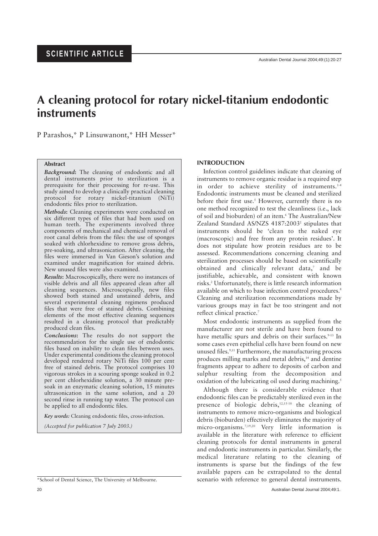# **A cleaning protocol for rotary nickel-titanium endodontic instruments**

P Parashos,\* P Linsuwanont,\* HH Messer\*

# **Abstract**

*Background***:** The cleaning of endodontic and all dental instruments prior to sterilization is a prerequisite for their processing for re-use. This study aimed to develop a clinically practical cleaning protocol for rotary nickel-titanium (NiTi) endodontic files prior to sterilization.

*Methods***:** Cleaning experiments were conducted on six different types of files that had been used on human teeth. The experiments involved three components of mechanical and chemical removal of root canal debris from the files: the use of sponges soaked with chlorhexidine to remove gross debris, pre-soaking, and ultrasonication. After cleaning, the files were immersed in Van Gieson's solution and examined under magnification for stained debris. New unused files were also examined.

*Results***:** Macroscopically, there were no instances of visible debris and all files appeared clean after all cleaning sequences. Microscopically, new files showed both stained and unstained debris, and several experimental cleaning regimens produced files that were free of stained debris. Combining elements of the most effective cleaning sequences resulted in a cleaning protocol that predictably produced clean files.

*Conclusions***:** The results do not support the recommendation for the single use of endodontic files based on inability to clean files between uses. Under experimental conditions the cleaning protocol developed rendered rotary NiTi files 100 per cent free of stained debris. The protocol comprises 10 vigorous strokes in a scouring sponge soaked in 0.2 per cent chlorhexidine solution, a 30 minute presoak in an enzymatic cleaning solution, 15 minutes ultrasonication in the same solution, and a 20 second rinse in running tap water. The protocol can be applied to all endodontic files.

*Key words:* Cleaning endodontic files, cross-infection.

*(Accepted for publication 7 July 2003.)*

# **INTRODUCTION**

Infection control guidelines indicate that cleaning of instruments to remove organic residue is a required step in order to achieve sterility of instruments.<sup>1-4</sup> Endodontic instruments must be cleaned and sterilized before their first use.<sup>5</sup> However, currently there is no one method recognized to test the cleanliness (i.e., lack of soil and bioburden) of an item.6 The Australian/New Zealand Standard AS/NZS 4187:2003<sup>2</sup> stipulates that instruments should be 'clean to the naked eye (macroscopic) and free from any protein residues'. It does not stipulate how protein residues are to be assessed. Recommendations concerning cleaning and sterilization processes should be based on scientifically obtained and clinically relevant data,7 and be justifiable, achievable, and consistent with known risks.2 Unfortunately, there is little research information available on which to base infection control procedures.<sup>8</sup> Cleaning and sterilization recommendations made by various groups may in fact be too stringent and not reflect clinical practice.<sup>7</sup>

Most endodontic instruments as supplied from the manufacturer are not sterile and have been found to have metallic spurs and debris on their surfaces.<sup>9-13</sup> In some cases even epithelial cells have been found on new unused files.<sup>9,11</sup> Furthermore, the manufacturing process produces milling marks and metal debris,<sup>14</sup> and dentine fragments appear to adhere to deposits of carbon and sulphur resulting from the decomposition and oxidation of the lubricating oil used during machining.<sup>5</sup>

Although there is considerable evidence that endodontic files can be predictably sterilized even in the presence of biologic debris,<sup>12,15-18</sup> the cleaning of instruments to remove micro-organisms and biological debris (bioburden) effectively eliminates the majority of micro-organisms.7,19,20 Very little information is available in the literature with reference to efficient cleaning protocols for dental instruments in general and endodontic instruments in particular. Similarly, the medical literature relating to the cleaning of instruments is sparse but the findings of the few available papers can be extrapolated to the dental \*School of Dental Science, The University of Melbourne. scenario with reference to general dental instruments.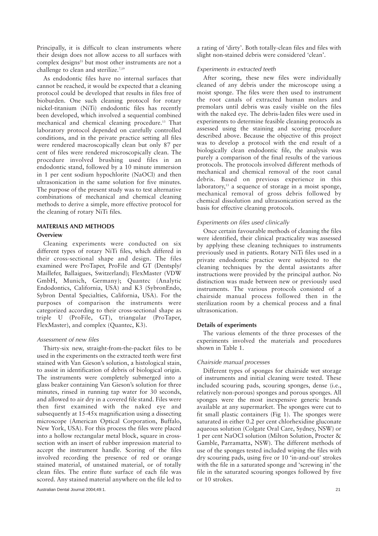Principally, it is difficult to clean instruments where their design does not allow access to all surfaces with complex designs $21$  but most other instruments are not a challenge to clean and sterilize.<sup>7,19</sup>

As endodontic files have no internal surfaces that cannot be reached, it would be expected that a cleaning protocol could be developed that results in files free of bioburden. One such cleaning protocol for rotary nickel-titanium (NiTi) endodontic files has recently been developed, which involved a sequential combined mechanical and chemical cleaning procedure.13 That laboratory protocol depended on carefully controlled conditions, and in the private practice setting all files were rendered macroscopically clean but only 87 per cent of files were rendered microscopically clean. The procedure involved brushing used files in an endodontic stand, followed by a 10 minute immersion in 1 per cent sodium hypochlorite (NaOCl) and then ultrasonication in the same solution for five minutes. The purpose of the present study was to test alternative combinations of mechanical and chemical cleaning methods to derive a simple, more effective protocol for the cleaning of rotary NiTi files.

# **MATERIALS AND METHODS**

#### **Overview**

Cleaning experiments were conducted on six different types of rotary NiTi files, which differed in their cross-sectional shape and design. The files examined were ProTaper, ProFile and GT (Dentsply/ Maillefer, Ballaigues, Switzerland); FlexMaster (VDW GmbH, Munich, Germany); Quantec (Analytic Endodontics, California, USA) and K3 (SybronEndo, Sybron Dental Specialties, California, USA). For the purposes of comparison the instruments were categorized according to their cross-sectional shape as triple U (ProFile, GT), triangular (ProTaper, FlexMaster), and complex (Quantec, K3).

## *Assessment of new files*

Thirty-six new, straight-from-the-packet files to be used in the experiments on the extracted teeth were first stained with Van Gieson's solution, a histological stain, to assist in identification of debris of biological origin. The instruments were completely submerged into a glass beaker containing Van Gieson's solution for three minutes, rinsed in running tap water for 30 seconds, and allowed to air dry in a covered file stand. Files were then first examined with the naked eye and subsequently at 15-45x magnification using a dissecting microscope (American Optical Corporation, Buffalo, New York, USA). For this process the files were placed into a hollow rectangular metal block, square in crosssection with an insert of rubber impression material to accept the instrument handle. Scoring of the files involved recording the presence of red or orange stained material, of unstained material, or of totally clean files. The entire flute surface of each file was scored. Any stained material anywhere on the file led to

a rating of 'dirty'. Both totally-clean files and files with slight non-stained debris were considered 'clean'.

#### *Experiments in extracted teeth*

After scoring, these new files were individually cleaned of any debris under the microscope using a moist sponge. The files were then used to instrument the root canals of extracted human molars and premolars until debris was easily visible on the files with the naked eye. The debris-laden files were used in experiments to determine feasible cleaning protocols as assessed using the staining and scoring procedure described above. Because the objective of this project was to develop a protocol with the end result of a biologically clean endodontic file, the analysis was purely a comparison of the final results of the various protocols. The protocols involved different methods of mechanical and chemical removal of the root canal debris. Based on previous experience in this laboratory,<sup>13</sup> a sequence of storage in a moist sponge, mechanical removal of gross debris followed by chemical dissolution and ultrasonication served as the basis for effective cleaning protocols.

## *Experiments on files used clinically*

Once certain favourable methods of cleaning the files were identified, their clinical practicality was assessed by applying these cleaning techniques to instruments previously used in patients. Rotary NiTi files used in a private endodontic practice were subjected to the cleaning techniques by the dental assistants after instructions were provided by the principal author. No distinction was made between new or previously used instruments. The various protocols consisted of a chairside manual process followed then in the sterilization room by a chemical process and a final ultrasonication.

## **Details of experiments**

The various elements of the three processes of the experiments involved the materials and procedures shown in Table 1.

## *Chairside manual processes*

Different types of sponges for chairside wet storage of instruments and initial cleaning were tested. These included scouring pads, scouring sponges, dense (i.e., relatively non-porous) sponges and porous sponges. All sponges were the most inexpensive generic brands available at any supermarket. The sponges were cut to fit small plastic containers (Fig 1). The sponges were saturated in either 0.2 per cent chlorhexidine gluconate aqueous solution (Colgate Oral Care, Sydney, NSW) or 1 per cent NaOCl solution (Milton Solution, Procter & Gamble, Parramatta, NSW). The different methods of use of the sponges tested included wiping the files with dry scouring pads, using five or 10 'in-and-out' strokes with the file in a saturated sponge and 'screwing in' the file in the saturated scouring sponges followed by five or 10 strokes.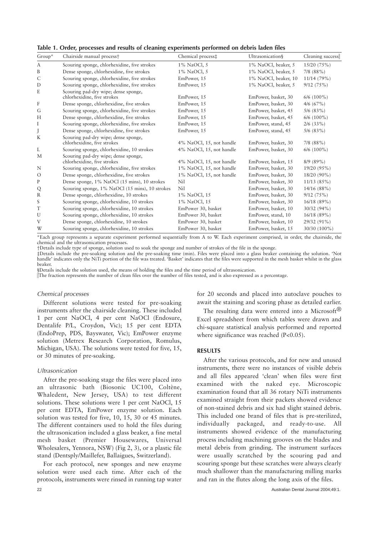|  |  |  |  | Table 1. Order, processes and results of cleaning experiments performed on debris laden files |  |  |
|--|--|--|--|-----------------------------------------------------------------------------------------------|--|--|
|  |  |  |  |                                                                                               |  |  |

| $Group^*$        | Chairside manual process <sup>+</sup>                               | Chemical process‡        | Ultrasonication§     | Cleaning success |
|------------------|---------------------------------------------------------------------|--------------------------|----------------------|------------------|
| A                | Scouring sponge, chlorhexidine, five strokes                        | 1% NaOCl, 5              | 1% NaOCl, beaker, 5  | 15/20(75%)       |
| B                | Dense sponge, chlorhexidine, five strokes                           | 1% NaOCl, 5              | 1% NaOCl, beaker, 5  | $7/8$ $(88\%)$   |
| C                | Scouring sponge, chlorhexidine, five strokes                        | EmPower, 15              | 1% NaOCl, beaker, 10 | 11/14(79%)       |
| D                | Scouring sponge, chlorhexidine, five strokes                        | EmPower, 15              | 1% NaOCl, beaker, 5  | 9/12(75%)        |
| E                | Scouring pad-dry wipe; dense sponge,<br>chlorhexidine, five strokes | EmPower, 15              | EmPower, basket, 30  | $6/6$ (100%)     |
| $\boldsymbol{F}$ | Dense sponge, chlorhexidine, five strokes                           | EmPower, 15              | EmPower, basket, 30  | $4/6$ (67%)      |
| G                | Scouring sponge, chlorhexidine, five strokes                        | EmPower, 15              | EmPower, basket, 45  | $5/6$ (83%)      |
| H                | Dense sponge, chlorhexidine, five strokes                           | EmPower, 15              | EmPower, basket, 45  | $6/6$ (100%)     |
| I                | Scouring sponge, chlorhexidine, five strokes                        | EmPower, 15              | EmPower, stand, 45   | $2/6$ (33%)      |
|                  | Dense sponge, chlorhexidine, five strokes                           | EmPower, 15              | EmPower, stand, 45   | $5/6$ (83%)      |
| K                | Scouring pad-dry wipe; dense sponge,<br>chlorhexidine, five strokes | 4% NaOCl, 15, not handle | EmPower, basket, 30  | $7/8$ $(88\%)$   |
| L                | Scouring sponge, chlorhexidine, 10 strokes                          | 4% NaOCl, 15, not handle | EmPower, basket, 30  | $6/6$ (100%)     |
| M                | Scouring pad-dry wipe; dense sponge,<br>chlorhexidine, five strokes | 4% NaOCl, 15, not handle | EmPower, basket, 15  | $8/9(89\%)$      |
| N                | Scouring sponge, chlorhexidine, five strokes                        | 1% NaOCl, 15, not handle | EmPower, basket, 30  | 19/20 (95%)      |
| $\circ$          | Dense sponge, chlorhexidine, five strokes                           | 1% NaOCl, 15, not handle | EmPower, basket, 30  | 18/20 (90%)      |
| ${\bf P}$        | Dense sponge, 1% NaOCl (15 mins), 10 strokes                        | Nil                      | EmPower, basket, 30  | 11/13(85%)       |
| Q                | Scouring sponge, 1% NaOCl (15 mins), 10 strokes                     | Nil                      | EmPower, basket, 30  | $14/16(88\%)$    |
| $\mathbb R$      | Dense sponge, chlorhexidine, 10 strokes                             | 1% NaOCl, 15             | EmPower, basket, 30  | 9/12(75%)        |
| S                | Scouring sponge, chlorhexidine, 10 strokes                          | 1% NaOCl, 15             | EmPower, basket, 30  | 16/18(89%)       |
| $\mathbf T$      | Scouring sponge, chlorhexidine, 10 strokes                          | EmPower 30, basket       | EmPower, basket, 10  | 30/32 (94%)      |
| U                | Scouring sponge, chlorhexidine, 10 strokes                          | EmPower 30, basket       | EmPower, stand, 10   | 16/18(89%)       |
| V                | Dense sponge, chlorhexidine, 10 strokes                             | EmPower 30, basket       | EmPower, basket, 10  | 29/32 (91%)      |
| W                | Scouring sponge, chlorhexidine, 10 strokes                          | EmPower 30, basket       | EmPower, basket, 15  | 30/30 (100%)     |

\*Each group represents a separate experiment performed sequentially from A to W. Each experiment comprised, in order, the chairside, the chemical and the ultrasonication processes.

†Details include type of sponge, solution used to soak the sponge and number of strokes of the file in the sponge.

‡Details include the pre-soaking solution and the pre-soaking time (min). Files were placed into a glass beaker containing the solution. 'Not handle' indicates only the NiTi portion of the file was treated. 'Basket' indicates that the files were supported in the mesh basket whilst in the glass beaker.

§Details include the solution used, the means of holding the files and the time period of ultrasonication.

The fraction represents the number of clean files over the number of files tested, and is also expressed as a percentage.

#### *Chemical processes*

Different solutions were tested for pre-soaking instruments after the chairside cleaning. These included 1 per cent NaOCl, 4 per cent NaOCl (Endosure, Dentalife P/L, Croydon, Vic); 15 per cent EDTA (EndoPrep, PDS, Bayswater, Vic); EmPower enzyme solution (Metrex Research Corporation, Romulus, Michigan, USA). The solutions were tested for five, 15, or 30 minutes of pre-soaking.

#### *Ultrasonication*

After the pre-soaking stage the files were placed into an ultrasonic bath (Biosonic UC100, Coltène, Whaledent, New Jersey, USA) to test different solutions. These solutions were 1 per cent NaOCl, 15 per cent EDTA, EmPower enzyme solution. Each solution was tested for five, 10, 15, 30 or 45 minutes. The different containers used to hold the files during the ultrasonication included a glass beaker, a fine metal mesh basket (Premier Housewares, Universal Wholesalers, Yennora, NSW) (Fig 2, 3), or a plastic file stand (Dentsply/Maillefer, Ballaigues, Switzerland).

For each protocol, new sponges and new enzyme solution were used each time. After each of the protocols, instruments were rinsed in running tap water

for 20 seconds and placed into autoclave pouches to await the staining and scoring phase as detailed earlier.

The resulting data were entered into a Microsoft<sup>®</sup> Excel spreadsheet from which tables were drawn and chi-square statistical analysis performed and reported where significance was reached (P<0.05).

#### **RESULTS**

After the various protocols, and for new and unused instruments, there were no instances of visible debris and all files appeared 'clean' when files were first examined with the naked eye. Microscopic examination found that all 36 rotary NiTi instruments examined straight from their packets showed evidence of non-stained debris and six had slight stained debris. This included one brand of files that is pre-sterilized, individually packaged, and ready-to-use. All instruments showed evidence of the manufacturing process including machining grooves on the blades and metal debris from grinding. The instrument surfaces were usually scratched by the scouring pad and scouring sponge but these scratches were always clearly much shallower than the manufacturing milling marks and ran in the flutes along the long axis of the files.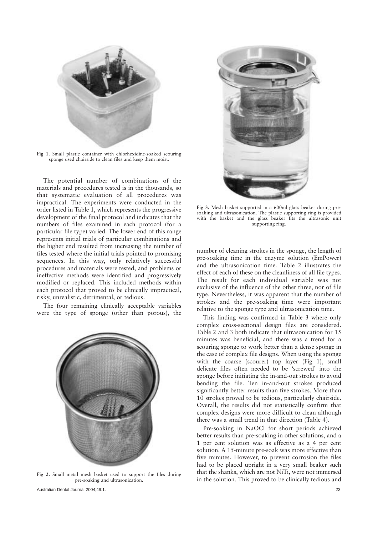

**Fig 1.** Small plastic container with chlorhexidine-soaked scouring sponge used chairside to clean files and keep them moist.

The potential number of combinations of the materials and procedures tested is in the thousands, so that systematic evaluation of all procedures was impractical. The experiments were conducted in the order listed in Table 1, which represents the progressive development of the final protocol and indicates that the numbers of files examined in each protocol (for a particular file type) varied. The lower end of this range represents initial trials of particular combinations and the higher end resulted from increasing the number of files tested where the initial trials pointed to promising sequences. In this way, only relatively successful procedures and materials were tested, and problems or ineffective methods were identified and progressively modified or replaced. This included methods within each protocol that proved to be clinically impractical, risky, unrealistic, detrimental, or tedious.

The four remaining clinically acceptable variables were the type of sponge (other than porous), the



**Fig 2.** Small metal mesh basket used to support the files during pre-soaking and ultrasonication.



**Fig 3.** Mesh basket supported in a 600ml glass beaker during presoaking and ultrasonication. The plastic supporting ring is provided with the basket and the glass beaker fits the ultrasonic unit supporting ring.

number of cleaning strokes in the sponge, the length of pre-soaking time in the enzyme solution (EmPower) and the ultrasonication time. Table 2 illustrates the effect of each of these on the cleanliness of all file types. The result for each individual variable was not exclusive of the influence of the other three, nor of file type. Nevertheless, it was apparent that the number of strokes and the pre-soaking time were important relative to the sponge type and ultrasonication time.

This finding was confirmed in Table 3 where only complex cross-sectional design files are considered. Table 2 and 3 both indicate that ultrasonication for 15 minutes was beneficial, and there was a trend for a scouring sponge to work better than a dense sponge in the case of complex file designs. When using the sponge with the coarse (scourer) top layer (Fig 1), small delicate files often needed to be 'screwed' into the sponge before initiating the in-and-out strokes to avoid bending the file. Ten in-and-out strokes produced significantly better results than five strokes. More than 10 strokes proved to be tedious, particularly chairside. Overall, the results did not statistically confirm that complex designs were more difficult to clean although there was a small trend in that direction (Table 4).

Pre-soaking in NaOCl for short periods achieved better results than pre-soaking in other solutions, and a 1 per cent solution was as effective as a 4 per cent solution. A 15-minute pre-soak was more effective than five minutes. However, to prevent corrosion the files had to be placed upright in a very small beaker such that the shanks, which are not NiTi, were not immersed in the solution. This proved to be clinically tedious and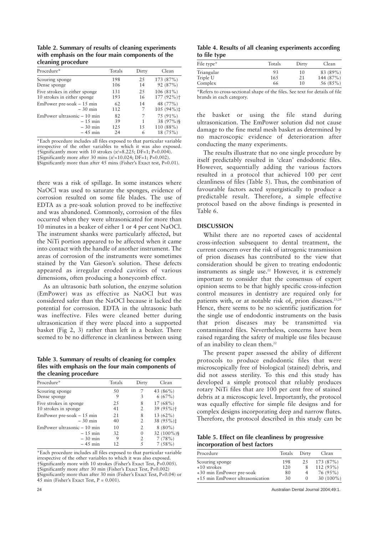**Table 2. Summary of results of cleaning experiments with emphasis on the four main components of the cleaning procedure**

| Procedure*                    | Totals | Dirty | Clean       |
|-------------------------------|--------|-------|-------------|
| Scouring sponge               | 198    | 2.5   | 173 (87%)   |
| Dense sponge                  | 106    | 14    | 92 (87%)    |
| Five strokes in either sponge | 131    | 2.5   | $106(81\%)$ |
| 10 strokes in either sponge   | 193    | 16    | 177 (92%)+  |
| EmPower pre-soak $-15$ min    | 62     | 14    | 48 (77%)    |
| $-30$ min                     | 112    | 7     | 105 (94%)‡  |
| EmPower ultrasonic – 10 min   | 82     | 7     | 75 (91%)    |
| $-15$ min                     | 39     | 1     | 38 (97%)§   |
| $-30$ min                     | 125    | 15    | 110 (88%)   |
| $-45$ min                     | 24     | 6     | 18 (75%)    |

\*Each procedure includes all files exposed to that particular variable irrespective of the other variables to which it was also exposed.  $\frac{1}{2}$  † Significantly more with 10 strokes (x<sup>2</sup>=8.225; DF=1; P=0.004).  $\ddagger$ Significantly more after 30 mins (x<sup>2</sup>=10.024; DF=1; P=0.002).

§Significantly more than after 45 mins (Fisher's Exact test, P=0.01).

there was a risk of spillage. In some instances where NaOCl was used to saturate the sponges, evidence of corrosion resulted on some file blades. The use of EDTA as a pre-soak solution proved to be ineffective and was abandoned. Commonly, corrosion of the files occurred when they were ultrasonicated for more than 10 minutes in a beaker of either 1 or 4 per cent NaOCl. The instrument shanks were particularly affected, but the NiTi portion appeared to be affected when it came into contact with the handle of another instrument. The areas of corrosion of the instruments were sometimes stained by the Van Gieson's solution. These defects appeared as irregular eroded cavities of various dimensions, often producing a honeycomb effect.

As an ultrasonic bath solution, the enzyme solution (EmPower) was as effective as NaOCl but was considered safer than the NaOCl because it lacked the potential for corrosion. EDTA in the ultrasonic bath was ineffective. Files were cleaned better during ultrasonication if they were placed into a supported basket (Fig 2, 3) rather than left in a beaker. There seemed to be no difference in cleanliness between using

**Table 3. Summary of results of cleaning for complex files with emphasis on the four main components of the cleaning procedure**

| Procedure*                  | Totals | Dirty          | Clean                   |
|-----------------------------|--------|----------------|-------------------------|
| Scouring sponge             | 50     |                | 43 (86%)                |
| Dense sponge                | 9      | 3              | 6(67%)                  |
| Five strokes in sponge      | 2.5    | 8              | $17(68\%)$              |
| 10 strokes in sponge        | 41     | 2              | $39(95\%)$ <sup>+</sup> |
| EmPower pre-soak $-15$ min  | 21     | 8              | 13 (62%)                |
| $-30$ min                   | 40     | 2              | 38 (95%)‡               |
| EmPower ultrasonic - 10 min | 10     | $\overline{2}$ | $8(80\%)$               |
| $-15$ min                   | 32     | $\Omega$       | 32 $(100\%)$ §          |
| $-30$ min                   | 9      | 2              | 7(78%)                  |
| $-45$ min                   | 12     | 5              | 7(58%)                  |

\*Each procedure includes all files exposed to that particular variable irrespective of the other variables to which it was also exposed.  $\dagger$ Significantly more with 10 strokes (Fisher's Exact Test, P=0.005). ‡Significantly more after 30 min (Fisher's Exact Test, P=0.002) §Significantly more than after 30 min (Fisher's Exact Test, P=0.04) or 45 min (Fisher's Exact Test,  $P = 0.001$ ).

**Table 4. Results of all cleaning experiments according to file type**

| File type* | Totals | Dirty | Clean     |
|------------|--------|-------|-----------|
| Triangular | 93     | 10    | 83 (89%)  |
| Triple U   | 165    | 21    | 144 (87%) |
| Complex    | 66     | 10    | 56 (85%)  |
|            |        |       |           |

\*Refers to cross-sectional shape of the files. See text for details of file brands in each category.

the basket or using the file stand during ultrasonication. The EmPower solution did not cause damage to the fine metal mesh basket as determined by no macroscopic evidence of deterioration after conducting the many experiments.

The results illustrate that no one single procedure by itself predictably resulted in 'clean' endodontic files. However, sequentially adding the various factors resulted in a protocol that achieved 100 per cent cleanliness of files (Table 5). Thus, the combination of favourable factors acted synergistically to produce a predictable result. Therefore, a simple effective protocol based on the above findings is presented in Table 6.

# **DISCUSSION**

Whilst there are no reported cases of accidental cross-infection subsequent to dental treatment, the current concern over the risk of iatrogenic transmission of prion diseases has contributed to the view that consideration should be given to treating endodontic instruments as single use.<sup>22</sup> However, it is extremely important to consider that the consensus of expert opinion seems to be that highly specific cross-infection control measures in dentistry are required only for patients with, or at notable risk of, prion diseases.<sup>23,24</sup> Hence, there seems to be no scientific justification for the single use of endodontic instruments on the basis that prion diseases may be transmitted via contaminated files. Nevertheless, concerns have been raised regarding the safety of multiple use files because of an inability to clean them.<sup>22</sup>

The present paper assessed the ability of different protocols to produce endodontic files that were microscopically free of biological (stained) debris, and did not assess sterility. To this end this study has developed a simple protocol that reliably produces rotary NiTi files that are 100 per cent free of stained debris at a microscopic level. Importantly, the protocol was equally effective for simple file designs and for complex designs incorporating deep and narrow flutes. Therefore, the protocol described in this study can be

**Table 5. Effect on file cleanliness by progressive incorporation of best factors**

| Procedure                       | Totals Dirty |          | Clean                   |
|---------------------------------|--------------|----------|-------------------------|
| Scouring sponge                 | 198          |          | $25 \quad 173 \ (87\%)$ |
| +10 strokes                     | 120          | 8        | $112(93\%)$             |
| +30 min EmPower pre-soak        | 80           | 4        | 76 (95%)                |
| +15 min EmPower ultrasonication | 30           | $\Omega$ | $30(100\%)$             |

24 Australian Dental Journal 2004;49:1.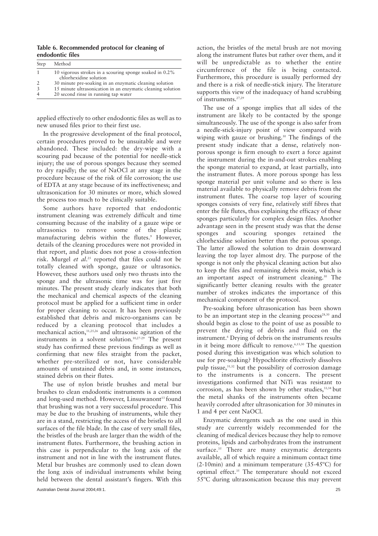**Table 6. Recommended protocol for cleaning of endodontic files**

| Step | Method                                                                               |
|------|--------------------------------------------------------------------------------------|
|      | 10 vigorous strokes in a scouring sponge soaked in $0.2\%$<br>chlorhexidine solution |
|      | 30 minute pre-soaking in an enzymatic cleaning solution                              |
|      | 15 minute ultrasonication in an enzymatic cleaning solution                          |
|      | 20 second rinse in running tap water                                                 |

applied effectively to other endodontic files as well as to new unused files prior to their first use.

In the progressive development of the final protocol, certain procedures proved to be unsuitable and were abandoned. These included: the dry-wipe with a scouring pad because of the potential for needle-stick injury; the use of porous sponges because they seemed to dry rapidly; the use of NaOCl at any stage in the procedure because of the risk of file corrosion; the use of EDTA at any stage because of its ineffectiveness; and ultrasonication for 30 minutes or more, which slowed the process too much to be clinically suitable.

Some authors have reported that endodontic instrument cleaning was extremely difficult and time consuming because of the inability of a gauze wipe or ultrasonics to remove some of the plastic manufacturing debris within the flutes.<sup>9</sup> However, details of the cleaning procedures were not provided in that report, and plastic does not pose a cross-infection risk. Murgel *et al*. <sup>25</sup> reported that files could not be totally cleaned with sponge, gauze or ultrasonics. However, these authors used only two thrusts into the sponge and the ultrasonic time was for just five minutes. The present study clearly indicates that both the mechanical and chemical aspects of the cleaning protocol must be applied for a sufficient time in order for proper cleaning to occur. It has been previously established that debris and micro-organisms can be reduced by a cleaning protocol that includes a mechanical action,11,25,26 and ultrasonic agitation of the instruments in a solvent solution.10,27-29 The present study has confirmed these previous findings as well as confirming that new files straight from the packet, whether pre-sterilized or not, have considerable amounts of unstained debris and, in some instances, stained debris on their flutes.

The use of nylon bristle brushes and metal bur brushes to clean endodontic instruments is a common and long-used method. However, Linsuwanont<sup>13</sup> found that brushing was not a very successful procedure. This may be due to the brushing of instruments, while they are in a stand, restricting the access of the bristles to all surfaces of the file blade. In the case of very small files, the bristles of the brush are larger than the width of the instrument flutes. Furthermore, the brushing action in this case is perpendicular to the long axis of the instrument and not in line with the instrument flutes. Metal bur brushes are commonly used to clean down the long axis of individual instruments whilst being held between the dental assistant's fingers. With this

Australian Dental Journal 2004;49:1. 25

action, the bristles of the metal brush are not moving along the instrument flutes but rather over them, and it will be unpredictable as to whether the entire circumference of the file is being contacted. Furthermore, this procedure is usually performed dry and there is a risk of needle-stick injury. The literature supports this view of the inadequacy of hand scrubbing of instruments.27,29

The use of a sponge implies that all sides of the instrument are likely to be contacted by the sponge simultaneously. The use of the sponge is also safer from a needle-stick-injury point of view compared with wiping with gauze or brushing.<sup>30</sup> The findings of the present study indicate that a dense, relatively nonporous sponge is firm enough to exert a force against the instrument during the in-and-out strokes enabling the sponge material to expand, at least partially, into the instrument flutes. A more porous sponge has less sponge material per unit volume and so there is less material available to physically remove debris from the instrument flutes. The coarse top layer of scouring sponges consists of very fine, relatively stiff fibres that enter the file flutes, thus explaining the efficacy of these sponges particularly for complex design files. Another advantage seen in the present study was that the dense sponges and scouring sponges retained the chlorhexidine solution better than the porous sponge. The latter allowed the solution to drain downward leaving the top layer almost dry. The purpose of the sponge is not only the physical cleaning action but also to keep the files and remaining debris moist, which is an important aspect of instrument cleaning.30 The significantly better cleaning results with the greater number of strokes indicates the importance of this mechanical component of the protocol.

Pre-soaking before ultrasonication has been shown to be an important step in the cleaning process $28,30$  and should begin as close to the point of use as possible to prevent the drying of debris and fluid on the instrument.<sup>6</sup> Drying of debris on the instruments results in it being more difficult to remove.<sup>6,13,30</sup> The question posed during this investigation was which solution to use for pre-soaking? Hypochlorite effectively dissolves pulp tissue,<sup>31,32</sup> but the possibility of corrosion damage to the instruments is a concern. The present investigations confirmed that NiTi was resistant to corrosion, as has been shown by other studies,<sup>33,34</sup> but the metal shanks of the instruments often became heavily corroded after ultrasonication for 30 minutes in 1 and 4 per cent NaOCl.

Enzymatic detergents such as the one used in this study are currently widely recommended for the cleaning of medical devices because they help to remove proteins, lipids and carbohydrates from the instrument surface.<sup>35</sup> There are many enzymatic detergents available, all of which require a minimum contact time (2-10min) and a minimum temperature (35-45ºC) for optimal effect.<sup>35</sup> The temperature should not exceed 55ºC during ultrasonication because this may prevent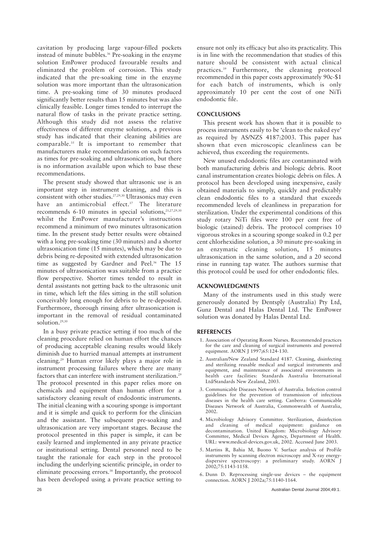cavitation by producing large vapour-filled pockets instead of minute bubbles.<sup>36</sup> Pre-soaking in the enzyme solution EmPower produced favourable results and eliminated the problem of corrosion. This study indicated that the pre-soaking time in the enzyme solution was more important than the ultrasonication time. A pre-soaking time of 30 minutes produced significantly better results than 15 minutes but was also clinically feasible. Longer times tended to interrupt the natural flow of tasks in the private practice setting. Although this study did not assess the relative effectiveness of different enzyme solutions, a previous study has indicated that their cleaning abilities are comparable.35 It is important to remember that manufacturers make recommendations on such factors as times for pre-soaking and ultrasonication, but there is no information available upon which to base these recommendations.

The present study showed that ultrasonic use is an important step in instrument cleaning, and this is consistent with other studies.27,29,30 Ultrasonics may even have an antimicrobial effect.<sup>37</sup> The literature recommends 6-10 minutes in special solutions, $21,27,29,30$ whilst the EmPower manufacturer's instructions recommend a minimum of two minutes ultrasonication time. In the present study better results were obtained with a long pre-soaking time (30 minutes) and a shorter ultrasonication time (15 minutes), which may be due to debris being re-deposited with extended ultrasonication time as suggested by Gardner and Peel.<sup>36</sup> The 15 minutes of ultrasonication was suitable from a practice flow perspective. Shorter times tended to result in dental assistants not getting back to the ultrasonic unit in time, which left the files sitting in the still solution conceivably long enough for debris to be re-deposited. Furthermore, thorough rinsing after ultrasonication is important in the removal of residual contaminated solution.<sup>29,30</sup>

In a busy private practice setting if too much of the cleaning procedure relied on human effort the chances of producing acceptable cleaning results would likely diminish due to hurried manual attempts at instrument cleaning.29 Human error likely plays a major role in instrument processing failures where there are many factors that can interfere with instrument sterilization.<sup>29</sup> The protocol presented in this paper relies more on chemicals and equipment than human effort for a satisfactory cleaning result of endodontic instruments. The initial cleaning with a scouring sponge is important and it is simple and quick to perform for the clinician and the assistant. The subsequent pre-soaking and ultrasonication are very important stages. Because the protocol presented in this paper is simple, it can be easily learned and implemented in any private practice or institutional setting. Dental personnel need to be taught the rationale for each step in the protocol including the underlying scientific principle, in order to eliminate processing errors.<sup>38</sup> Importantly, the protocol has been developed using a private practice setting to

ensure not only its efficacy but also its practicality. This is in line with the recommendation that studies of this nature should be consistent with actual clinical practices.39 Furthermore, the cleaning protocol recommended in this paper costs approximately 90c-\$1 for each batch of instruments, which is only approximately 10 per cent the cost of one NiTi endodontic file.

# **CONCLUSIONS**

This present work has shown that it is possible to process instruments easily to be 'clean to the naked eye' as required by AS/NZS 4187:2003. This paper has shown that even microscopic cleanliness can be achieved, thus exceeding the requirements.

New unused endodontic files are contaminated with both manufacturing debris and biologic debris. Root canal instrumentation creates biologic debris on files. A protocol has been developed using inexpensive, easily obtained materials to simply, quickly and predictably clean endodontic files to a standard that exceeds recommended levels of cleanliness in preparation for sterilization. Under the experimental conditions of this study rotary NiTi files were 100 per cent free of biologic (stained) debris. The protocol comprises 10 vigorous strokes in a scouring sponge soaked in 0.2 per cent chlorhexidine solution, a 30 minute pre-soaking in an enzymatic cleaning solution, 15 minutes ultrasonication in the same solution, and a 20 second rinse in running tap water. The authors surmise that this protocol could be used for other endodontic files.

## **ACKNOWLEDGMENTS**

Many of the instruments used in this study were generously donated by Dentsply (Australia) Pty Ltd, Gunz Dental and Halas Dental Ltd. The EmPower solution was donated by Halas Dental Ltd.

## **REFERENCES**

- 1. Association of Operating Room Nurses. Recommended practices for the care and cleaning of surgical instruments and powered equipment. AORN J 1997;65:124-130.
- 2. Australian/New Zealand Standard 4187. Cleaning, disinfecting and sterilizing reusable medical and surgical instruments and equipment, and maintenance of associated environments in health care facilities: Standards Australia International Ltd/Standards New Zealand, 2003.
- 3. Communicable Diseases Network of Australia. Infection control guidelines for the prevention of transmission of infectious diseases in the health care setting. Canberra: Communicable Diseases Network of Australia, Commonwealth of Australia, 2002.
- 4. Microbiology Advisory Committee. Sterilization, disinfection and cleaning of medical equipment: guidance on decontamination. United Kingdom: Microbiology Advisory Committee, Medical Devices Agency, Department of Health. URL: www.medical-devices.gov.uk, 2002. Accessed June 2003.
- 5. Martins R, Bahia M, Buono V. Surface analysis of ProFile instruments by scanning electron microscopy and X-ray energydispersive spectroscopy: a preliminary study. AORN J 2002;75:1143-1158.
- 6. Dunn D. Reprocessing single-use devices the equipment connection. AORN J 2002a;75:1140-1164.

26 Australian Dental Journal 2004;49:1.